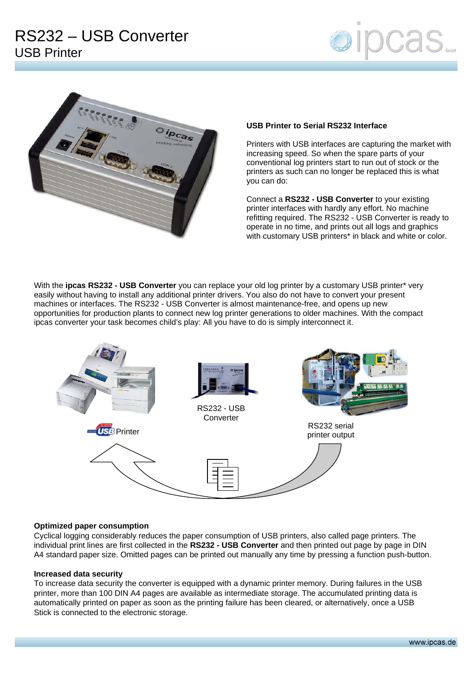



## **USB Printer to Serial RS232 Interface**

Printers with USB interfaces are capturing the market with increasing speed. So when the spare parts of your conventional log printers start to run out of stock or the printers as such can no longer be replaced this is what you can do:

Connect a **RS232 - USB Converter** to your existing printer interfaces with hardly any effort. No machine refitting required. The RS232 - USB Converter is ready to operate in no time, and prints out all logs and graphics with customary USB printers<sup>\*</sup> in black and white or color.

With the **ipcas RS232 - USB Converter** you can replace your old log printer by a customary USB printer\* very easily without having to install any additional printer drivers. You also do not have to convert your present machines or interfaces. The RS232 - USB Converter is almost maintenance-free, and opens up new opportunities for production plants to connect new log printer generations to older machines. With the compact ipcas converter your task becomes child's play: All you have to do is simply interconnect it.



### **Optimized paper consumption**

Cyclical logging considerably reduces the paper consumption of USB printers, also called page printers. The individual print lines are first collected in the **RS232 - USB Converter** and then printed out page by page in DIN A4 standard paper size. Omitted pages can be printed out manually any time by pressing a function push-button.

### **Increased data security**

To increase data security the converter is equipped with a dynamic printer memory. During failures in the USB printer, more than 100 DIN A4 pages are available as intermediate storage. The accumulated printing data is automatically printed on paper as soon as the printing failure has been cleared, or alternatively, once a USB Stick is connected to the electronic storage.